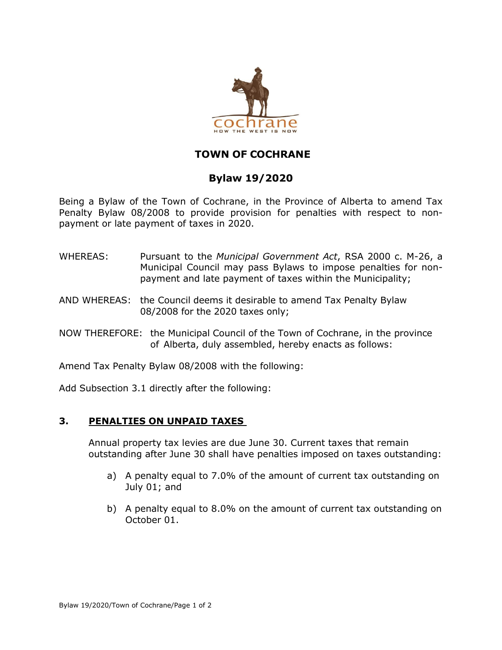

## **TOWN OF COCHRANE**

## **Bylaw 19/2020**

Being a Bylaw of the Town of Cochrane, in the Province of Alberta to amend Tax Penalty Bylaw 08/2008 to provide provision for penalties with respect to nonpayment or late payment of taxes in 2020.

- WHEREAS: Pursuant to the *Municipal Government Act*, RSA 2000 c. M-26, a Municipal Council may pass Bylaws to impose penalties for nonpayment and late payment of taxes within the Municipality;
- AND WHEREAS: the Council deems it desirable to amend Tax Penalty Bylaw 08/2008 for the 2020 taxes only;
- NOW THEREFORE: the Municipal Council of the Town of Cochrane, in the province of Alberta, duly assembled, hereby enacts as follows:

Amend Tax Penalty Bylaw 08/2008 with the following:

Add Subsection 3.1 directly after the following:

## **3. PENALTIES ON UNPAID TAXES**

Annual property tax levies are due June 30. Current taxes that remain outstanding after June 30 shall have penalties imposed on taxes outstanding:

- a) A penalty equal to 7.0% of the amount of current tax outstanding on July 01; and
- b) A penalty equal to 8.0% on the amount of current tax outstanding on October 01.